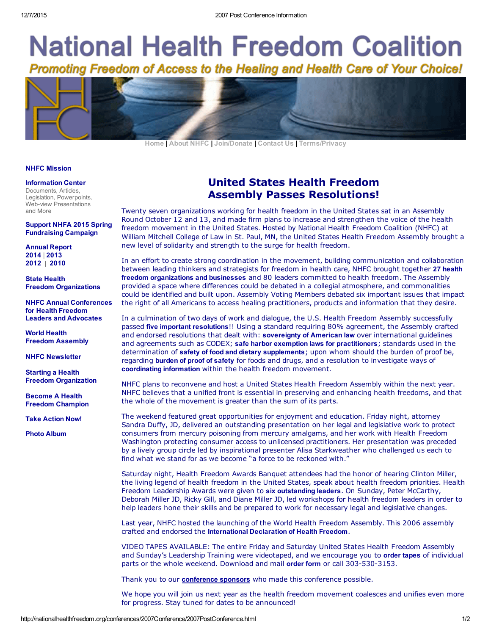# **National Health Freedom Coalition** Promoting Freedom of Access to the Healing and Health Care of Your Choice!

[Home](http://www.nationalhealthfreedom.org/Index.html) | [About NHFC](http://www.nationalhealthfreedom.org/about_nhfc.html) | [Join/Donate](https://app.etapestry.com/hosted/NationalHealthFreedomCoalit/NHFC_donate.htm) | [Contact Us](http://www.nationalhealthfreedom.org/contact.html) | [Terms/Privacy](http://www.nationalhealthfreedom.org/terms.html)

#### [NHFC Mission](http://www.nationalhealthfreedom.org/aboutNHFC/mission_statement.html)

#### [Information Center](http://www.nationalhealthfreedom.org/info_center.html)

Documents, Articles, Legislation, Powerpoints, Web-view Presentations and More

#### [Support NHFA 2015 Spring](http://org.salsalabs.com/o/850/t/0/blastContent.jsp?email_blast_KEY=1322054) Fundraising Campaign

[Annual Report](http://www.nationalhealthfreedom.org/documents/NHFC_Annual_Report_2014.pdf) 2014 | [2013](http://www.nationalhealthfreedom.org/documents/NHFC_Annual_Report_2013.pdf) [2012](http://www.nationalhealthfreedom.org/documents/NHFC_Annual_Report_2012.pdf) | [2010](http://www.nationalhealthfreedom.org/documents/Annual_Report_final%20Dec%2020_2011.pdf)

State Health [Freedom Organizations](http://www.nationalhealthfreedom.org/state_organizations.html) 

[NHFC Annual Conferences](http://www.nationalhealthfreedom.org/conferences.html) for Health Freedom Leaders and Advocate[s](http://nationalhealthfreedom.org/conferences/conferences.html)

World Health [Freedom Assembly](http://www.nationalhealthfreedom.org/conferences.html)

[NHFC Newsletter](http://www.nationalhealthfreedom.org/nhfc_newsletter.html)

Starting a Health [Freedom Organization](http://www.nationalhealthfreedom.org/starting_organization.html)

Become A Health [Freedom Champion](https://app.etapestry.com/hosted/NationalHealthFreedomCoalit/NHFC_donate.htm)

[Take Action Now!](http://www.nationalhealthfreedom.org/CoalitionHhomepage.html)

[Photo Album](http://www.nationalhealthfreedom.org/photoalbum)

## United States Health Freedom Assembly Passes Resolutions!

Twenty seven organizations working for health freedom in the United States sat in an Assembly Round October 12 and 13, and made firm plans to increase and strengthen the voice of the health freedom movement in the United States. Hosted by National Health Freedom Coalition (NHFC) at William Mitchell College of Law in St. Paul, MN, the United States Health Freedom Assembly brought a new level of solidarity and strength to the surge for health freedom.

In an effort to create strong coordination in the movement, building communication and collaboration [between leading thinkers and strategists for freedom in health care, NHFC brought together](http://nationalhealthfreedom.org/conferences/2007Conference/2007VotingList.html) 27 health freedom organizations and businesses and 80 leaders committed to health freedom. The Assembly provided a space where differences could be debated in a collegial atmosphere, and commonalities could be identified and built upon. Assembly Voting Members debated six important issues that impact the right of all Americans to access healing practitioners, products and information that they desire.

In a culmination of two days of work and dialogue, the U.S. Health Freedom Assembly successfully passed [five important resolutions](http://nationalhealthfreedom.org/conferences/2007Conference/5Resolutions.html)!! Using a standard requiring 80% agreement, the Assembly crafted and endorsed resolutions that dealt with: [sovereignty of American law](https://nationalhealthfreedom.org/wp-content/uploads/USHFALT-2007-Resolution-Re_Sovereignty-of-American-Law-.pdf) over international guidelines and agreements such as CODEX; [safe harbor exemption laws for practitioners](https://nationalhealthfreedom.org/wp-content/uploads/USHFALT-2007-Resolution-Re_-Safe-Harbor-Health-Freedom-Exemptions-for-Healing-Arts_AG-Tracking.pdf); standards used in the determination of [safety of food and dietary supplements](https://nationalhealthfreedom.org/wp-content/uploads/USHFALT-2007-Resolution-Re_-Safety-of-food-and-or-dietary-supplements_AG-tracking.pdf); upon whom should the burden of proof be, regarding [burden of proof of safety](https://nationalhealthfreedom.org/wp-content/uploads/USHFALT-2007-Resolution-Re_-Burden-of-Proof-of-safety-for-products-regulated-by-the-FDA-should-rest-with-the-FDA_AGtracking.pdf) for foods and drugs, and a resolution to investigate ways of [coordinating information](https://nationalhealthfreedom.org/wp-content/uploads/USHFALT-2007-Resolution-Re_-Establish-committee-to-investigate-and-design-information-coordination-center_AGTracking.pdf) within the health freedom movement.

NHFC plans to reconvene and host a United States Health Freedom Assembly within the next year. NHFC believes that a unified front is essential in preserving and enhancing health freedoms, and that the whole of the movement is greater than the sum of its parts.

The weekend featured great opportunities for enjoyment and education. Friday night, attorney Sandra Duffy, JD, delivered an outstanding presentation on her legal and legislative work to protect consumers from mercury poisoning from mercury amalgams, and her work with Health Freedom Washington protecting consumer access to unlicensed practitioners. Her presentation was preceded by a lively group circle led by inspirational presenter Alisa Starkweather who challenged us each to find what we stand for as we become "a force to be reckoned with."

Saturday night, Health Freedom Awards Banquet attendees had the honor of hearing Clinton Miller, the living legend of health freedom in the United States, speak about health freedom priorities. Health Freedom Leadership Awards were given to [six outstanding leaders](http://nationalhealthfreedom.org/conferences/2007Conference/2007Awardees.html). On Sunday, Peter McCarthy, Deborah Miller JD, Ricky Gill, and Diane Miller JD, led workshops for health freedom leaders in order to help leaders hone their skills and be prepared to work for necessary legal and legislative changes.

Last year, NHFC hosted the launching of the World Health Freedom Assembly. This 2006 assembly crafted and endorsed the [International Declaration of Health Freedom](https://nationalhealthfreedom.org/wp-content/uploads/Internatinal.pdf).

VIDEO TAPES AVAILABLE: The entire Friday and Saturday United States Health Freedom Assembly and Sunday's Leadership Training were videotaped, and we encourage you to [order tapes](http://nationalhealthfreedom.org/conferences/2007Conference/2007ConferenceTapeOrderForm.pdf) of individual parts or the whole weekend. Download and mail [order form](http://nationalhealthfreedom.org/conferences/2007Conference/2007ConferenceTapeOrderForm.pdf) or call 303-530-3153.

Thank you to our **conference sponsors** who made this conference possible.

We hope you will join us next year as the health freedom movement coalesces and unifies even more for progress. Stay tuned for dates to be announced!